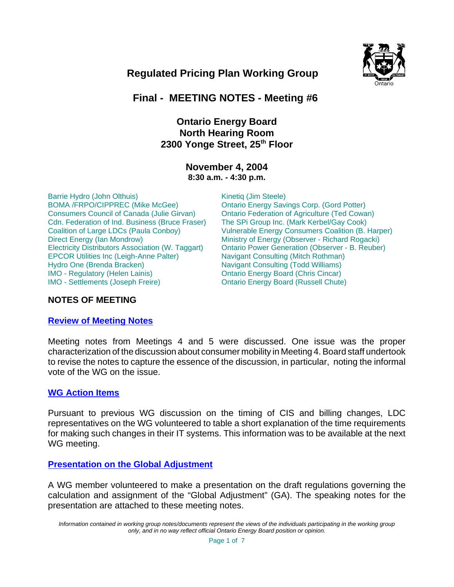

# **Regulated Pricing Plan Working Group**

# **Final - MEETING NOTES - Meeting #6**

# **Ontario Energy Board North Hearing Room 2300 Yonge Street, 25th Floor**

### **November 4, 2004 8:30 a.m. - 4:30 p.m.**

Barrie Hydro (John Olthuis) BOMA /FRPO/CIPPREC (Mike McGee) Consumers Council of Canada (Julie Girvan) Cdn. Federation of Ind. Business (Bruce Fraser) Coalition of Large LDCs (Paula Conboy) Direct Energy (Ian Mondrow) Electricity Distributors Association (W. Taggart) EPCOR Utilities Inc (Leigh-Anne Palter) Hydro One (Brenda Bracken) IMO - Regulatory (Helen Lainis) IMO - Settlements (Joseph Freire)

Kinetiq (Jim Steele) Ontario Energy Savings Corp. (Gord Potter) Ontario Federation of Agriculture (Ted Cowan) The SPi Group Inc. (Mark Kerbel/Gay Cook) Vulnerable Energy Consumers Coalition (B. Harper) Ministry of Energy (Observer - Richard Rogacki) Ontario Power Generation (Observer - B. Reuber) Navigant Consulting (Mitch Rothman) Navigant Consulting (Todd Williams) Ontario Energy Board (Chris Cincar) Ontario Energy Board (Russell Chute)

# **NOTES OF MEETING**

#### **Review of Meeting Notes**

Meeting notes from Meetings 4 and 5 were discussed. One issue was the proper characterization of the discussion about consumer mobility in Meeting 4. Board staff undertook to revise the notes to capture the essence of the discussion, in particular, noting the informal vote of the WG on the issue.

#### **WG Action Items**

Pursuant to previous WG discussion on the timing of CIS and billing changes, LDC representatives on the WG volunteered to table a short explanation of the time requirements for making such changes in their IT systems. This information was to be available at the next WG meeting.

### **Presentation on the Global Adjustment**

A WG member volunteered to make a presentation on the draft regulations governing the calculation and assignment of the "Global Adjustment" (GA). The speaking notes for the presentation are attached to these meeting notes.

*Information contained in working group notes/documents represent the views of the individuals participating in the working group only, and in no way reflect official Ontario Energy Board position or opinion.*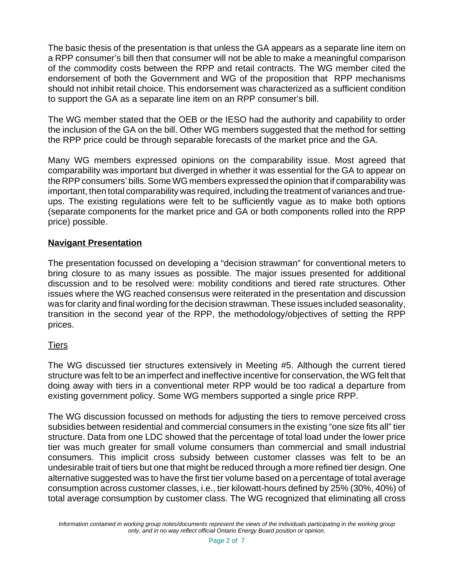The basic thesis of the presentation is that unless the GA appears as a separate line item on a RPP consumer's bill then that consumer will not be able to make a meaningful comparison of the commodity costs between the RPP and retail contracts. The WG member cited the endorsement of both the Government and WG of the proposition that RPP mechanisms should not inhibit retail choice. This endorsement was characterized as a sufficient condition to support the GA as a separate line item on an RPP consumer's bill.

The WG member stated that the OEB or the IESO had the authority and capability to order the inclusion of the GA on the bill. Other WG members suggested that the method for setting the RPP price could be through separable forecasts of the market price and the GA.

Many WG members expressed opinions on the comparability issue. Most agreed that comparability was important but diverged in whether it was essential for the GA to appear on the RPP consumers' bills. Some WG members expressed the opinion that if comparability was important, then total comparability was required, including the treatment of variances and trueups. The existing regulations were felt to be sufficiently vague as to make both options (separate components for the market price and GA or both components rolled into the RPP price) possible.

# **Navigant Presentation**

The presentation focussed on developing a "decision strawman" for conventional meters to bring closure to as many issues as possible. The major issues presented for additional discussion and to be resolved were: mobility conditions and tiered rate structures. Other issues where the WG reached consensus were reiterated in the presentation and discussion was for clarity and final wording for the decision strawman. These issues included seasonality, transition in the second year of the RPP, the methodology/objectives of setting the RPP prices.

# **Tiers**

The WG discussed tier structures extensively in Meeting #5. Although the current tiered structure was felt to be an imperfect and ineffective incentive for conservation, the WG felt that doing away with tiers in a conventional meter RPP would be too radical a departure from existing government policy. Some WG members supported a single price RPP.

The WG discussion focussed on methods for adjusting the tiers to remove perceived cross subsidies between residential and commercial consumers in the existing "one size fits all" tier structure. Data from one LDC showed that the percentage of total load under the lower price tier was much greater for small volume consumers than commercial and small industrial consumers. This implicit cross subsidy between customer classes was felt to be an undesirable trait of tiers but one that might be reduced through a more refined tier design. One alternative suggested was to have the first tier volume based on a percentage of total average consumption across customer classes, i.e., tier kilowatt-hours defined by 25% (30%, 40%) of total average consumption by customer class. The WG recognized that eliminating all cross

*Information contained in working group notes/documents represent the views of the individuals participating in the working group only, and in no way reflect official Ontario Energy Board position or opinion.*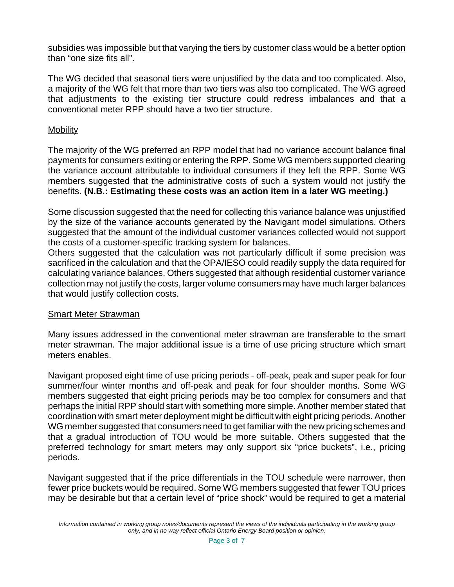subsidies was impossible but that varying the tiers by customer class would be a better option than "one size fits all".

The WG decided that seasonal tiers were unjustified by the data and too complicated. Also, a majority of the WG felt that more than two tiers was also too complicated. The WG agreed that adjustments to the existing tier structure could redress imbalances and that a conventional meter RPP should have a two tier structure.

# **Mobility**

The majority of the WG preferred an RPP model that had no variance account balance final payments for consumers exiting or entering the RPP. Some WG members supported clearing the variance account attributable to individual consumers if they left the RPP. Some WG members suggested that the administrative costs of such a system would not justify the benefits. **(N.B.: Estimating these costs was an action item in a later WG meeting.)**

Some discussion suggested that the need for collecting this variance balance was unjustified by the size of the variance accounts generated by the Navigant model simulations. Others suggested that the amount of the individual customer variances collected would not support the costs of a customer-specific tracking system for balances.

Others suggested that the calculation was not particularly difficult if some precision was sacrificed in the calculation and that the OPA/IESO could readily supply the data required for calculating variance balances. Others suggested that although residential customer variance collection may not justify the costs, larger volume consumers may have much larger balances that would justify collection costs.

# Smart Meter Strawman

Many issues addressed in the conventional meter strawman are transferable to the smart meter strawman. The major additional issue is a time of use pricing structure which smart meters enables.

Navigant proposed eight time of use pricing periods - off-peak, peak and super peak for four summer/four winter months and off-peak and peak for four shoulder months. Some WG members suggested that eight pricing periods may be too complex for consumers and that perhaps the initial RPP should start with something more simple. Another member stated that coordination with smart meter deployment might be difficult with eight pricing periods. Another WG member suggested that consumers need to get familiar with the new pricing schemes and that a gradual introduction of TOU would be more suitable. Others suggested that the preferred technology for smart meters may only support six "price buckets", i.e., pricing periods.

Navigant suggested that if the price differentials in the TOU schedule were narrower, then fewer price buckets would be required. Some WG members suggested that fewer TOU prices may be desirable but that a certain level of "price shock" would be required to get a material

*Information contained in working group notes/documents represent the views of the individuals participating in the working group only, and in no way reflect official Ontario Energy Board position or opinion.*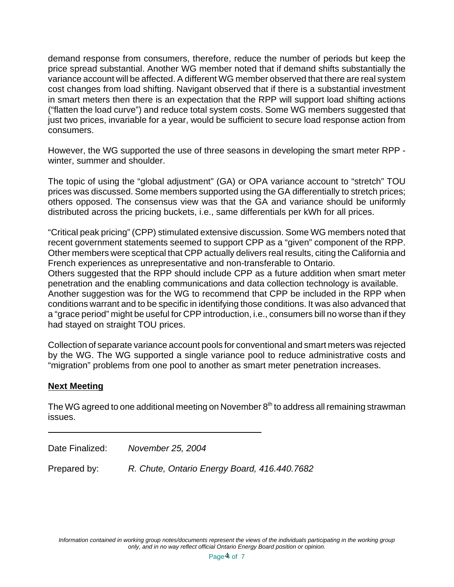demand response from consumers, therefore, reduce the number of periods but keep the price spread substantial. Another WG member noted that if demand shifts substantially the variance account will be affected. A different WG member observed that there are real system cost changes from load shifting. Navigant observed that if there is a substantial investment in smart meters then there is an expectation that the RPP will support load shifting actions ("flatten the load curve") and reduce total system costs. Some WG members suggested that just two prices, invariable for a year, would be sufficient to secure load response action from consumers.

However, the WG supported the use of three seasons in developing the smart meter RPP winter, summer and shoulder.

The topic of using the "global adjustment" (GA) or OPA variance account to "stretch" TOU prices was discussed. Some members supported using the GA differentially to stretch prices; others opposed. The consensus view was that the GA and variance should be uniformly distributed across the pricing buckets, i.e., same differentials per kWh for all prices.

"Critical peak pricing" (CPP) stimulated extensive discussion. Some WG members noted that recent government statements seemed to support CPP as a "given" component of the RPP. Other members were sceptical that CPP actually delivers real results, citing the California and French experiences as unrepresentative and non-transferable to Ontario.

Others suggested that the RPP should include CPP as a future addition when smart meter penetration and the enabling communications and data collection technology is available. Another suggestion was for the WG to recommend that CPP be included in the RPP when conditions warrant and to be specific in identifying those conditions. It was also advanced that a "grace period" might be useful for CPP introduction, i.e., consumers bill no worse than if they had stayed on straight TOU prices.

Collection of separate variance account pools for conventional and smart meters was rejected by the WG. The WG supported a single variance pool to reduce administrative costs and "migration" problems from one pool to another as smart meter penetration increases.

# **Next Meeting**

The WG agreed to one additional meeting on November  $8<sup>th</sup>$  to address all remaining strawman issues.

Date Finalized: *November 25, 2004*

Prepared by: *R. Chute, Ontario Energy Board, 416.440.7682* 

*Information contained in working group notes/documents represent the views of the individuals participating in the working group only, and in no way reflect official Ontario Energy Board position or opinion.*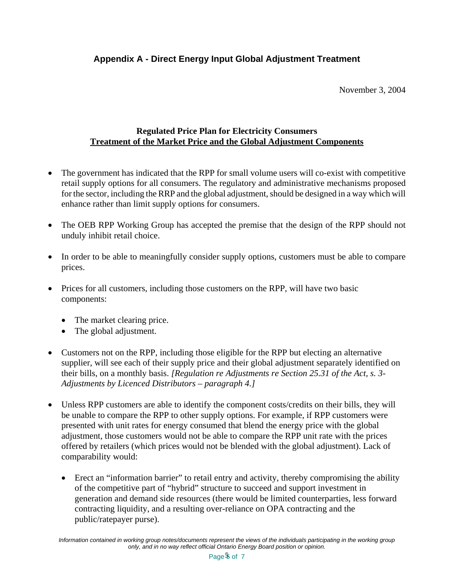# **Appendix A - Direct Energy Input Global Adjustment Treatment**

November 3, 2004

### **Regulated Price Plan for Electricity Consumers Treatment of the Market Price and the Global Adjustment Components**

- The government has indicated that the RPP for small volume users will co-exist with competitive retail supply options for all consumers. The regulatory and administrative mechanisms proposed for the sector, including the RRP and the global adjustment, should be designed in a way which will enhance rather than limit supply options for consumers.
- The OEB RPP Working Group has accepted the premise that the design of the RPP should not unduly inhibit retail choice.
- In order to be able to meaningfully consider supply options, customers must be able to compare prices.
- Prices for all customers, including those customers on the RPP, will have two basic components:
	- The market clearing price.
	- The global adjustment.
- Customers not on the RPP, including those eligible for the RPP but electing an alternative supplier, will see each of their supply price and their global adjustment separately identified on their bills, on a monthly basis. *[Regulation re Adjustments re Section 25.31 of the Act, s. 3- Adjustments by Licenced Distributors – paragraph 4.]*
- Unless RPP customers are able to identify the component costs/credits on their bills, they will be unable to compare the RPP to other supply options. For example, if RPP customers were presented with unit rates for energy consumed that blend the energy price with the global adjustment, those customers would not be able to compare the RPP unit rate with the prices offered by retailers (which prices would not be blended with the global adjustment). Lack of comparability would:
	- Erect an "information barrier" to retail entry and activity, thereby compromising the ability of the competitive part of "hybrid" structure to succeed and support investment in generation and demand side resources (there would be limited counterparties, less forward contracting liquidity, and a resulting over-reliance on OPA contracting and the public/ratepayer purse).

*Information contained in working group notes/documents represent the views of the individuals participating in the working group only, and in no way reflect official Ontario Energy Board position or opinion.*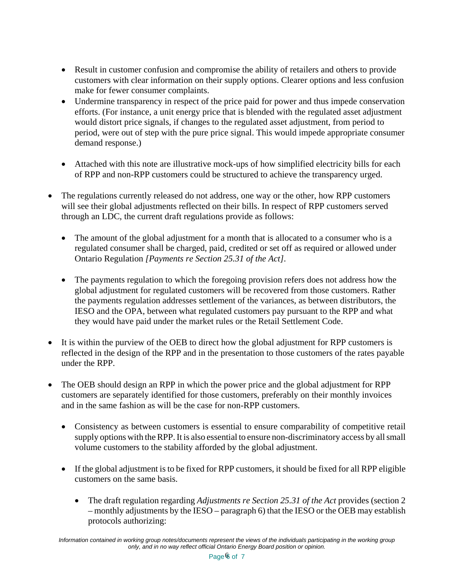- Result in customer confusion and compromise the ability of retailers and others to provide customers with clear information on their supply options. Clearer options and less confusion make for fewer consumer complaints.
- Undermine transparency in respect of the price paid for power and thus impede conservation efforts. (For instance, a unit energy price that is blended with the regulated asset adjustment would distort price signals, if changes to the regulated asset adjustment, from period to period, were out of step with the pure price signal. This would impede appropriate consumer demand response.)
- Attached with this note are illustrative mock-ups of how simplified electricity bills for each of RPP and non-RPP customers could be structured to achieve the transparency urged.
- The regulations currently released do not address, one way or the other, how RPP customers will see their global adjustments reflected on their bills. In respect of RPP customers served through an LDC, the current draft regulations provide as follows:
	- The amount of the global adjustment for a month that is allocated to a consumer who is a regulated consumer shall be charged, paid, credited or set off as required or allowed under Ontario Regulation *[Payments re Section 25.31 of the Act].*
	- The payments regulation to which the foregoing provision refers does not address how the global adjustment for regulated customers will be recovered from those customers. Rather the payments regulation addresses settlement of the variances, as between distributors, the IESO and the OPA, between what regulated customers pay pursuant to the RPP and what they would have paid under the market rules or the Retail Settlement Code.
- It is within the purview of the OEB to direct how the global adjustment for RPP customers is reflected in the design of the RPP and in the presentation to those customers of the rates payable under the RPP.
- The OEB should design an RPP in which the power price and the global adjustment for RPP customers are separately identified for those customers, preferably on their monthly invoices and in the same fashion as will be the case for non-RPP customers.
	- Consistency as between customers is essential to ensure comparability of competitive retail supply options with the RPP. It is also essential to ensure non-discriminatory access by all small volume customers to the stability afforded by the global adjustment.
	- If the global adjustment is to be fixed for RPP customers, it should be fixed for all RPP eligible customers on the same basis.
		- The draft regulation regarding *Adjustments re Section 25.31 of the Act* provides (section 2 – monthly adjustments by the IESO – paragraph 6) that the IESO or the OEB may establish protocols authorizing: